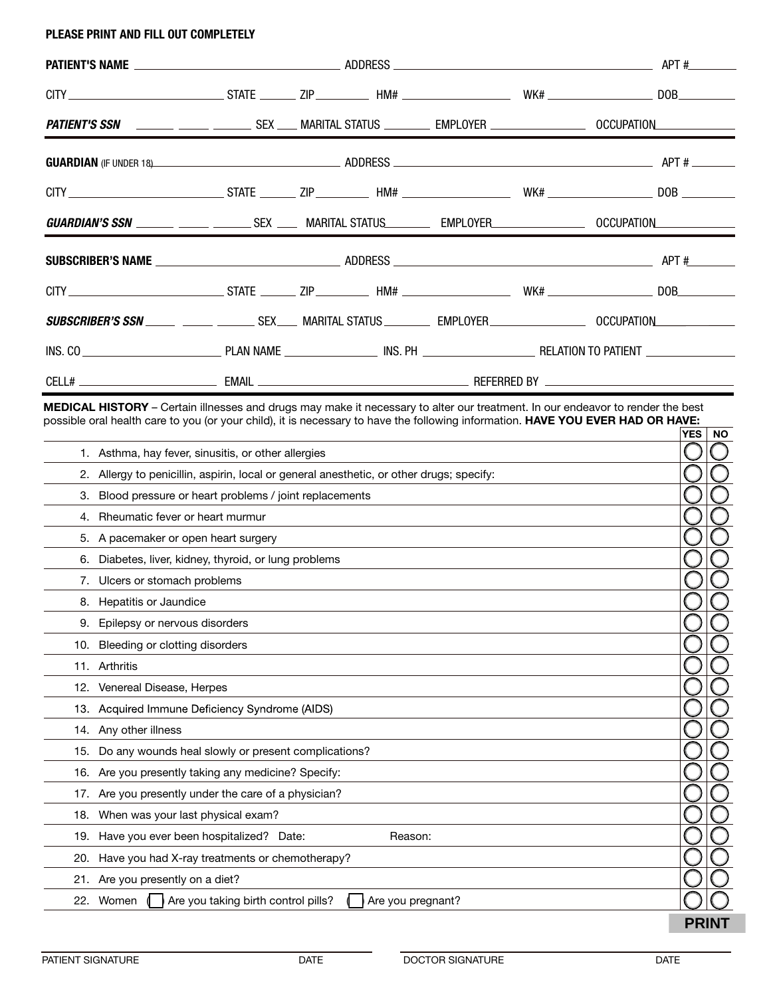## PLEASE PRINT AND FILL OUT COMPLETELY

|  |  |  |  |                                                                                                                       | PATIENT'S SSN ______ _____ ________ SEX ____ MARITAL STATUS _________ EMPLOYER ____________________ OCCUPATION______________ |
|--|--|--|--|-----------------------------------------------------------------------------------------------------------------------|------------------------------------------------------------------------------------------------------------------------------|
|  |  |  |  |                                                                                                                       | <b>GUARDIAN</b> (IF UNDER 18) 4PT #                                                                                          |
|  |  |  |  |                                                                                                                       |                                                                                                                              |
|  |  |  |  | GUARDIAN'S SSN ______ _____ ________ SEX ____ MARITAL STATUS________ EMPLOYER_________________ OCCUPATION____________ |                                                                                                                              |
|  |  |  |  |                                                                                                                       |                                                                                                                              |
|  |  |  |  |                                                                                                                       |                                                                                                                              |
|  |  |  |  |                                                                                                                       | <b>SUBSCRIBER'S SSN _____ _____ ______</b> SEX____ MARITAL STATUS ________ EMPLOYER _________________ OCCUPATION___________  |
|  |  |  |  |                                                                                                                       |                                                                                                                              |
|  |  |  |  |                                                                                                                       |                                                                                                                              |

MEDICAL HISTORY – Certain illnesses and drugs may make it necessary to alter our treatment. In our endeavor to render the best possible oral health care to you (or your child), it is necessary to have the following information. HAVE YOU EVER HAD OR HAVE:

|     |                                                                                          | <b>YES</b><br><b>NO</b> |
|-----|------------------------------------------------------------------------------------------|-------------------------|
|     | 1. Asthma, hay fever, sinusitis, or other allergies                                      |                         |
|     | 2. Allergy to penicillin, aspirin, local or general anesthetic, or other drugs; specify: |                         |
| 3.  | Blood pressure or heart problems / joint replacements                                    |                         |
| 4.  | Rheumatic fever or heart murmur                                                          |                         |
| 5.  | A pacemaker or open heart surgery                                                        |                         |
| 6.  | Diabetes, liver, kidney, thyroid, or lung problems                                       |                         |
| 7.  | Ulcers or stomach problems                                                               |                         |
|     | 8. Hepatitis or Jaundice                                                                 |                         |
|     | 9. Epilepsy or nervous disorders                                                         |                         |
| 10. | Bleeding or clotting disorders                                                           |                         |
|     | 11. Arthritis                                                                            |                         |
|     | 12. Venereal Disease, Herpes                                                             |                         |
|     | 13. Acquired Immune Deficiency Syndrome (AIDS)                                           |                         |
|     | 14. Any other illness                                                                    |                         |
| 15. | Do any wounds heal slowly or present complications?                                      |                         |
|     | 16. Are you presently taking any medicine? Specify:                                      |                         |
| 17. | Are you presently under the care of a physician?                                         |                         |
|     | 18. When was your last physical exam?                                                    |                         |
|     | 19. Have you ever been hospitalized? Date:<br>Reason:                                    |                         |
| 20. | Have you had X-ray treatments or chemotherapy?                                           |                         |
|     | 21. Are you presently on a diet?                                                         |                         |
|     | Are you taking birth control pills?<br>Are you pregnant?<br>22. Women                    |                         |
|     |                                                                                          | <b>PRINT</b>            |